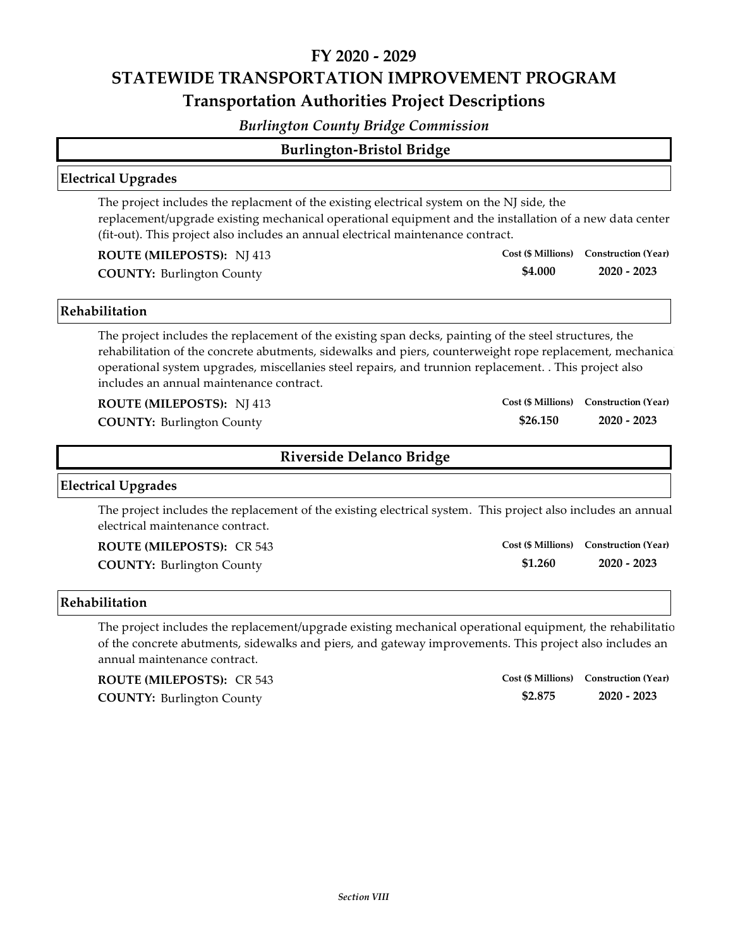# **FY 2020 ‐ 2029 STATEWIDE TRANSPORTATION IMPROVEMENT PROGRAM Transportation Authorities Project Descriptions**

#### *Burlington County Bridge Commission*

| <b>Burlington-Bristol Bridge</b> |  |
|----------------------------------|--|
|                                  |  |

#### **Electrical Upgrades**

The project includes the replacment of the existing electrical system on the NJ side, the replacement/upgrade existing mechanical operational equipment and the installation of a new data center (fit‐out). This project also includes an annual electrical maintenance contract.

**ROUTE (MILEPOSTS):** NJ 413

**COUNTY: 2020 ‐ 2023** Burlington County

#### **Rehabilitation**

The project includes the replacement of the existing span decks, painting of the steel structures, the rehabilitation of the concrete abutments, sidewalks and piers, counterweight rope replacement, mechanical operational system upgrades, miscellanies steel repairs, and trunnion replacement. . This project also includes an annual maintenance contract.

**ROUTE (MILEPOSTS):** NJ 413

**COUNTY: 2020 ‐ 2023** Burlington County

### **Riverside Delanco Bridge**

#### **Electrical Upgrades**

The project includes the replacement of the existing electrical system. This project also includes an annual electrical maintenance contract.

**ROUTE (MILEPOSTS):** CR 543

**\$1.260 COUNTY: 2020 ‐ 2023** Burlington County **Cost (\$ Millions) Construction (Year)**

**\$4.000**

**\$26.150**

**Cost (\$ Millions) Construction (Year)**

**Cost (\$ Millions) Construction (Year)**

#### **Rehabilitation**

The project includes the replacement/upgrade existing mechanical operational equipment, the rehabilitatio of the concrete abutments, sidewalks and piers, and gateway improvements. This project also includes an annual maintenance contract.

**COUNTY: 2020 ‐ 2023** Burlington County **ROUTE (MILEPOSTS):** CR 543

**\$2.875 Cost (\$ Millions) Construction (Year)**